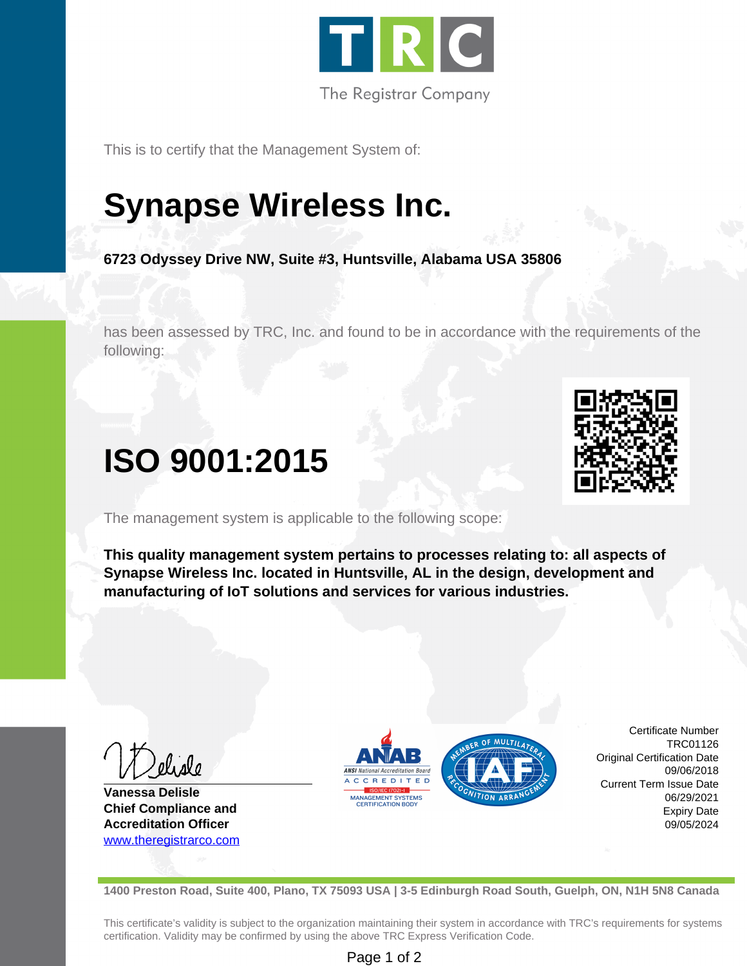

This is to certify that the Management System of:

# **Synapse Wireless Inc.**

**6723 Odyssey Drive NW, Suite #3, Huntsville, Alabama USA 35806**

has been assessed by TRC, Inc. and found to be in accordance with the requirements of the following:

## **ISO 9001:2015**

The management system is applicable to the following scope:

**This quality management system pertains to processes relating to: all aspects of Synapse Wireless Inc. located in Huntsville, AL in the design, development and manufacturing of IoT solutions and services for various industries.**

**Vanessa Delisle Chief Compliance and Accreditation Officer** <www.theregistrarco.com>



Certificate Number TRC01126 Original Certification Date 09/06/2018 Current Term Issue Date 06/29/2021 Expiry Date 09/05/2024

**1400 Preston Road, Suite 400, Plano, TX 75093 USA | 3-5 Edinburgh Road South, Guelph, ON, N1H 5N8 Canada**

This certificate's validity is subject to the organization maintaining their system in accordance with TRC's requirements for systems certification. Validity may be confirmed by using the above TRC Express Verification Code.

#### Page 1 of 2